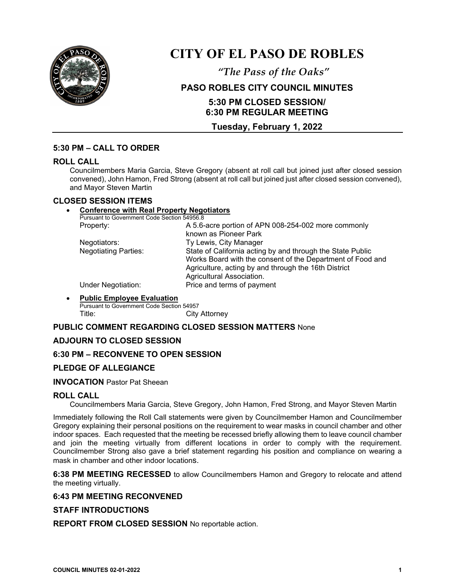

# **CITY OF EL PASO DE ROBLES**

*"The Pass of the Oaks"*

# **PASO ROBLES CITY COUNCIL MINUTES**

# **5:30 PM CLOSED SESSION/ 6:30 PM REGULAR MEETING**

# **Tuesday, February 1, 2022**

## **5:30 PM – CALL TO ORDER**

#### **ROLL CALL**

Councilmembers Maria Garcia, Steve Gregory (absent at roll call but joined just after closed session convened), John Hamon, Fred Strong (absent at roll call but joined just after closed session convened), and Mayor Steven Martin

#### **CLOSED SESSION ITEMS**

#### • **Conference with Real Property Negotiators**

Pursuant to Government Code Section 54956.8

| Property:                   | A 5.6-acre portion of APN 008-254-002 more commonly                                                                |
|-----------------------------|--------------------------------------------------------------------------------------------------------------------|
|                             | known as Pioneer Park                                                                                              |
| Negotiators:                | Ty Lewis, City Manager                                                                                             |
| <b>Negotiating Parties:</b> | State of California acting by and through the State Public                                                         |
|                             | Works Board with the consent of the Department of Food and<br>Agriculture, acting by and through the 16th District |
|                             | Agricultural Association.                                                                                          |
| <b>Under Negotiation:</b>   | Price and terms of payment                                                                                         |

## • **Public Employee Evaluation**

Pursuant to Government Code Section 54957 Title: City Attorney

## **PUBLIC COMMENT REGARDING CLOSED SESSION MATTERS** None

## **ADJOURN TO CLOSED SESSION**

#### **6:30 PM – RECONVENE TO OPEN SESSION**

## **PLEDGE OF ALLEGIANCE**

#### **INVOCATION** Pastor Pat Sheean

#### **ROLL CALL**

Councilmembers Maria Garcia, Steve Gregory, John Hamon, Fred Strong, and Mayor Steven Martin

Immediately following the Roll Call statements were given by Councilmember Hamon and Councilmember Gregory explaining their personal positions on the requirement to wear masks in council chamber and other indoor spaces. Each requested that the meeting be recessed briefly allowing them to leave council chamber and join the meeting virtually from different locations in order to comply with the requirement. Councilmember Strong also gave a brief statement regarding his position and compliance on wearing a mask in chamber and other indoor locations.

**6:38 PM MEETING RECESSED** to allow Councilmembers Hamon and Gregory to relocate and attend the meeting virtually.

#### **6:43 PM MEETING RECONVENED**

#### **STAFF INTRODUCTIONS**

**REPORT FROM CLOSED SESSION** No reportable action.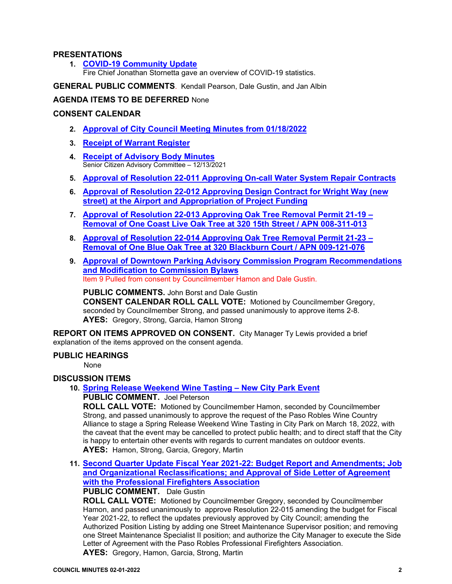### **PRESENTATIONS**

**1. [COVID-19 Community Update](https://www.prcity.com/DocumentCenter/View/33106/February-1-2022-City-Council-Agenda-Item-01-PDF)** 

Fire Chief Jonathan Stornetta gave an overview of COVID-19 statistics.

**GENERAL PUBLIC COMMENTS**. Kendall Pearson, Dale Gustin, and Jan Albin

## **AGENDA ITEMS TO BE DEFERRED** None

## **CONSENT CALENDAR**

- **2. [Approval of City Council Meeting Minutes from 01/18/2022](https://www.prcity.com/DocumentCenter/View/33107/February-1-2022-City-Council-Agenda-Item-02-PDF)**
- **3. Receipt [of Warrant Register](https://www.prcity.com/DocumentCenter/View/33108/February-1-2022-City-Council-Agenda-Item-03-PDF)**
- **4. [Receipt of Advisory Body Minutes](https://www.prcity.com/DocumentCenter/View/33109/February-1-2022-City-Council-Agenda-Item-04-PDF)** Senior Citizen Advisory Committee – 12/13/2021
- **5. Approval of Resolution 22-011 Approving [On-call Water System Repair Contracts](https://www.prcity.com/DocumentCenter/View/33110/February-1-2022-City-Council-Agenda-Item-05-PDF)**
- **6. [Approval of Resolution 22-012 Approving Design Contract for Wright Way \(new](https://www.prcity.com/DocumentCenter/View/33111/February-1-2022-City-Council-Agenda-Item-06-PDF)  [street\) at the Airport and Appropriation of Project Funding](https://www.prcity.com/DocumentCenter/View/33111/February-1-2022-City-Council-Agenda-Item-06-PDF)**
- **7. Approval of Resolution 22-013 Approving [Oak Tree Removal Permit 21-19 –](https://www.prcity.com/DocumentCenter/View/33112/February-1-2022-City-Council-Agenda-Item-07-PDF) [Removal of One Coast Live Oak Tree at 320 15th Street / APN 008-311-013](https://www.prcity.com/DocumentCenter/View/33112/February-1-2022-City-Council-Agenda-Item-07-PDF)**
- **8. Approval of Resolution 22-014 Approving [Oak Tree Removal Permit 21-23 –](https://www.prcity.com/DocumentCenter/View/33100/February-1-2022-City-Council-Agenda-Item-08-PDF) [Removal of One Blue Oak Tree at 320 Blackburn Court / APN 009-121-076](https://www.prcity.com/DocumentCenter/View/33100/February-1-2022-City-Council-Agenda-Item-08-PDF)**
- **9. [Approval of Downtown Parking Advisory Commission Program Recommendations](https://www.prcity.com/DocumentCenter/View/33101/February-1-2022-City-Council-Agenda-Item-09-PDF)  [and Modification to Commission Bylaws](https://www.prcity.com/DocumentCenter/View/33101/February-1-2022-City-Council-Agenda-Item-09-PDF)** Item 9 Pulled from consent by Councilmember Hamon and Dale Gustin.

**PUBLIC COMMENTS.** John Borst and Dale Gustin **CONSENT CALENDAR ROLL CALL VOTE:** Motioned by Councilmember Gregory, seconded by Councilmember Strong, and passed unanimously to approve items 2-8. **AYES:** Gregory, Strong, Garcia, Hamon Strong

**REPORT ON ITEMS APPROVED ON CONSENT.** City Manager Ty Lewis provided a brief explanation of the items approved on the consent agenda.

## **PUBLIC HEARINGS**

None

## **DISCUSSION ITEMS**

**10. [Spring Release Weekend Wine Tasting –](https://www.prcity.com/DocumentCenter/View/33102/February-1-2022-City-Council-Agenda-Item-10-PDF) New City Park Event**

**PUBLIC COMMENT.** Joel Peterson

**ROLL CALL VOTE:** Motioned by Councilmember Hamon, seconded by Councilmember Strong, and passed unanimously to approve the request of the Paso Robles Wine Country Alliance to stage a Spring Release Weekend Wine Tasting in City Park on March 18, 2022, with the caveat that the event may be cancelled to protect public health; and to direct staff that the City is happy to entertain other events with regards to current mandates on outdoor events. **AYES:** Hamon, Strong, Garcia, Gregory, Martin

**11. [Second Quarter Update Fiscal Year 2021-22: Budget Report and Amendments; Job](https://www.prcity.com/DocumentCenter/View/33103/February-1-2022-City-Council-Agenda-Item-11-PDF)  [and Organizational Reclassifications; and Approval of Side Letter of](https://www.prcity.com/DocumentCenter/View/33103/February-1-2022-City-Council-Agenda-Item-11-PDF) Agreement [with the Professional Firefighters Association](https://www.prcity.com/DocumentCenter/View/33103/February-1-2022-City-Council-Agenda-Item-11-PDF)**

## **PUBLIC COMMENT.** Dale Gustin

**ROLL CALL VOTE:** Motioned by Councilmember Gregory, seconded by Councilmember Hamon, and passed unanimously to approve Resolution 22-015 amending the budget for Fiscal Year 2021-22, to reflect the updates previously approved by City Council; amending the Authorized Position Listing by adding one Street Maintenance Supervisor position; and removing one Street Maintenance Specialist II position; and authorize the City Manager to execute the Side Letter of Agreement with the Paso Robles Professional Firefighters Association. **AYES:** Gregory, Hamon, Garcia, Strong, Martin